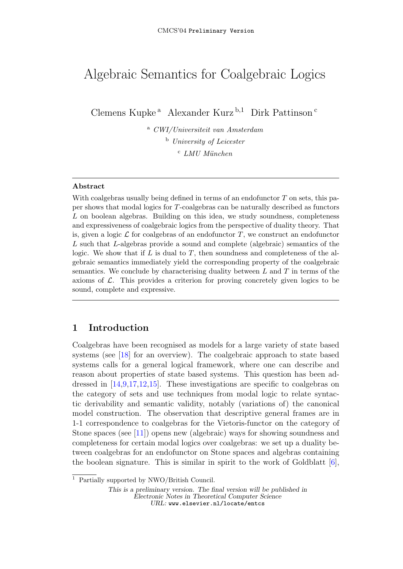# Algebraic Semantics for Coalgebraic Logics

Clemens Kupke<sup>a</sup> Alexander Kurz<sup>b,1</sup> Dirk Pattinson<sup>c</sup>

<sup>a</sup> CWI/Universiteit van Amsterdam <sup>b</sup> University of Leicester  $c$  LMU München

### Abstract

With coalgebras usually being defined in terms of an endofunctor  $T$  on sets, this paper shows that modal logics for T-coalgebras can be naturally described as functors L on boolean algebras. Building on this idea, we study soundness, completeness and expressiveness of coalgebraic logics from the perspective of duality theory. That is, given a logic  $\mathcal L$  for coalgebras of an endofunctor T, we construct an endofunctor L such that L-algebras provide a sound and complete (algebraic) semantics of the logic. We show that if  $L$  is dual to  $T$ , then soundness and completeness of the algebraic semantics immediately yield the corresponding property of the coalgebraic semantics. We conclude by characterising duality between  $L$  and  $T$  in terms of the axioms of  $\mathcal{L}$ . This provides a criterion for proving concretely given logics to be sound, complete and expressive.

# 1 Introduction

Coalgebras have been recognised as models for a large variety of state based systems (see [\[18\]](#page-20-0) for an overview). The coalgebraic approach to state based systems calls for a general logical framework, where one can describe and reason about properties of state based systems. This question has been addressed in [\[14](#page-20-1)[,9](#page-20-2)[,17](#page-20-3)[,12](#page-20-4)[,15\]](#page-20-5). These investigations are specific to coalgebras on the category of sets and use techniques from modal logic to relate syntactic derivability and semantic validity, notably (variations of) the canonical model construction. The observation that descriptive general frames are in 1-1 correspondence to coalgebras for the Vietoris-functor on the category of Stone spaces (see [\[11\]](#page-20-6)) opens new (algebraic) ways for showing soundness and completeness for certain modal logics over coalgebras: we set up a duality between coalgebras for an endofunctor on Stone spaces and algebras containing the boolean signature. This is similar in spirit to the work of Goldblatt [\[6\]](#page-20-7),

<sup>1</sup> Partially supported by NWO/British Council.

This is a preliminary version. The final version will be published in Electronic Notes in Theoretical Computer Science URL: www.elsevier.nl/locate/entcs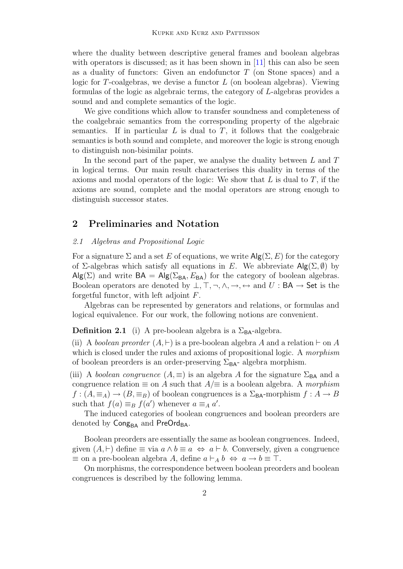where the duality between descriptive general frames and boolean algebras with operators is discussed; as it has been shown in  $[11]$  this can also be seen as a duality of functors: Given an endofunctor T (on Stone spaces) and a logic for T-coalgebras, we devise a functor  $L$  (on boolean algebras). Viewing formulas of the logic as algebraic terms, the category of L-algebras provides a sound and and complete semantics of the logic.

We give conditions which allow to transfer soundness and completeness of the coalgebraic semantics from the corresponding property of the algebraic semantics. If in particular  $L$  is dual to  $T$ , it follows that the coalgebraic semantics is both sound and complete, and moreover the logic is strong enough to distinguish non-bisimilar points.

In the second part of the paper, we analyse the duality between  $L$  and  $T$ in logical terms. Our main result characterises this duality in terms of the axioms and modal operators of the logic: We show that  $L$  is dual to  $T$ , if the axioms are sound, complete and the modal operators are strong enough to distinguish successor states.

# 2 Preliminaries and Notation

### <span id="page-1-0"></span>2.1 Algebras and Propositional Logic

For a signature  $\Sigma$  and a set E of equations, we write  $\mathsf{Alg}(\Sigma, E)$  for the category of  $\Sigma$ -algebras which satisfy all equations in E. We abbreviate  $\mathsf{Alg}(\Sigma, \emptyset)$  by  $\mathsf{Alg}(\Sigma)$  and write  $\mathsf{BA} = \mathsf{Alg}(\Sigma_{\mathsf{BA}}, E_{\mathsf{BA}})$  for the category of boolean algebras. Boolean operators are denoted by  $\bot$ ,  $\top$ ,  $\neg$ ,  $\wedge$ ,  $\rightarrow$ ,  $\leftrightarrow$  and  $U : BA \rightarrow$  Set is the forgetful functor, with left adjoint  $F$ .

Algebras can be represented by generators and relations, or formulas and logical equivalence. For our work, the following notions are convenient.

**Definition 2.1** (i) A pre-boolean algebra is a  $\Sigma_{BA}$ -algebra.

(ii) A boolean preorder  $(A, \vdash)$  is a pre-boolean algebra A and a relation  $\vdash$  on A which is closed under the rules and axioms of propositional logic. A morphism of boolean preorders is an order-preserving  $\Sigma_{BA}$ - algebra morphism.

(iii) A boolean congruence  $(A, \equiv)$  is an algebra A for the signature  $\Sigma_{BA}$  and a congruence relation  $\equiv$  on A such that  $A/\equiv$  is a boolean algebra. A morphism  $f:(A,\equiv_A)\to (B,\equiv_B)$  of boolean congruences is a  $\Sigma_{BA}$ -morphism  $f:A\to B$ such that  $f(a) \equiv_B f(a')$  whenever  $a \equiv_A a'$ .

The induced categories of boolean congruences and boolean preorders are denoted by Cong<sub>BA</sub> and PreOrd<sub>BA</sub>.

Boolean preorders are essentially the same as boolean congruences. Indeed, given  $(A, \vdash)$  define  $\equiv$  via  $a \wedge b \equiv a \Leftrightarrow a \vdash b$ . Conversely, given a congruence  $\equiv$  on a pre-boolean algebra A, define  $a \vdash_A b \Leftrightarrow a \rightarrow b \equiv \top$ .

On morphisms, the correspondence between boolean preorders and boolean congruences is described by the following lemma.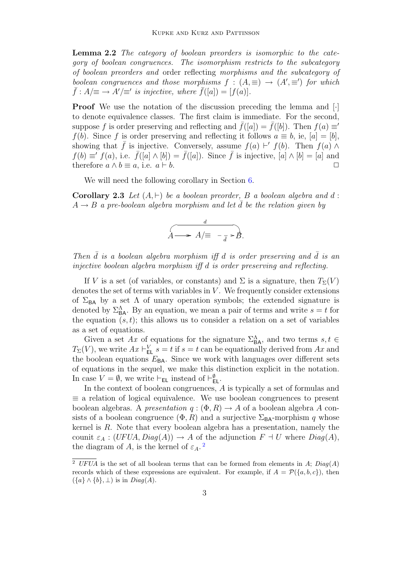Lemma 2.2 The category of boolean preorders is isomorphic to the category of boolean congruences. The isomorphism restricts to the subcategory of boolean preorders and order reflecting morphisms and the subcategory of boolean congruences and those morphisms  $f : (A, \equiv) \rightarrow (A', \equiv')$  for which  $\bar{f}: A/\equiv \rightarrow A'/\equiv'$  is injective, where  $\bar{f}([a]) = [f(a)].$ 

**Proof** We use the notation of the discussion preceding the lemma and [·] to denote equivalence classes. The first claim is immediate. For the second, suppose f is order preserving and reflecting and  $\bar{f}([a]) = \bar{f}([b])$ . Then  $f(a) \equiv 0$ f(b). Since f is order preserving and reflecting it follows  $a \equiv b$ , ie,  $[a] = [b]$ , showing that  $\bar{f}$  is injective. Conversely, assume  $f(a) \vdash' f(b)$ . Then  $f(a) \wedge f(b)$  $f(b) \equiv f(a)$ , i.e.  $\bar{f}([a] \wedge [b]) = \bar{f}([a])$ . Since  $\bar{f}$  is injective,  $[a] \wedge [b] = [a]$  and therefore  $a \wedge b \equiv a$ , i.e.  $a \vdash b$ .

We will need the following corollary in Section [6.](#page-13-0)

<span id="page-2-1"></span>Corollary 2.3 Let  $(A, \vdash)$  be a boolean preorder, B a boolean algebra and d:  $A \rightarrow B$  a pre-boolean algebra morphism and let  $\overline{d}$  be the relation given by

$$
A \longrightarrow A/\equiv -\frac{d}{\bar{d}} \geq B.
$$

Then  $\overline{d}$  is a boolean algebra morphism iff d is order preserving and  $\overline{d}$  is an injective boolean algebra morphism iff d is order preserving and reflecting.

If V is a set (of variables, or constants) and  $\Sigma$  is a signature, then  $T_{\Sigma}(V)$ denotes the set of terms with variables in  $V$ . We frequently consider extensions of  $\Sigma_{BA}$  by a set  $\Lambda$  of unary operation symbols; the extended signature is denoted by  $\Sigma_{BA}^{\Lambda}$ . By an equation, we mean a pair of terms and write  $s = t$  for the equation  $(s, t)$ ; this allows us to consider a relation on a set of variables as a set of equations.

Given a set Ax of equations for the signature  $\Sigma_{\text{BA}}^{\Lambda}$ , and two terms  $s, t \in$  $T_{\Sigma}(V)$ , we write  $Ax \vdash_{\mathsf{EL}}^V s = t$  if  $s = t$  can be equationally derived from  $Ax$  and the boolean equations  $E_{BA}$ . Since we work with languages over different sets of equations in the sequel, we make this distinction explicit in the notation. In case  $V = \emptyset$ , we write  $\vdash_{\mathsf{EL}}$  instead of  $\vdash_{\mathsf{EL}}^{\emptyset}$ .

In the context of boolean congruences, A is typically a set of formulas and  $\equiv$  a relation of logical equivalence. We use boolean congruences to present boolean algebras. A presentation  $q : (\Phi, R) \to A$  of a boolean algebra A consists of a boolean congruence  $(\Phi, R)$  and a surjective  $\Sigma_{BA}$ -morphism q whose kernel is R. Note that every boolean algebra has a presentation, namely the counit  $\varepsilon_A$ :  $(UFUA, Diag(A)) \rightarrow A$  of the adjunction  $F \dashv U$  where  $Diag(A)$ , the diagram of A, is the kernel of  $\varepsilon_A$ .<sup>[2](#page-2-0)</sup>

<span id="page-2-0"></span><sup>&</sup>lt;sup>2</sup> UFUA is the set of all boolean terms that can be formed from elements in A;  $Diag(A)$ records which of these expressions are equivalent. For example, if  $A = \mathcal{P}(\{a, b, c\})$ , then  $({a} \wedge {b}, \perp)$  is in  $Diag(A)$ .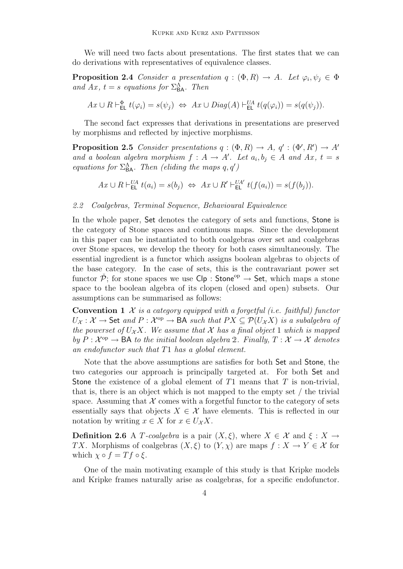We will need two facts about presentations. The first states that we can do derivations with representatives of equivalence classes.

<span id="page-3-1"></span>**Proposition 2.4** Consider a presentation  $q : (\Phi, R) \to A$ . Let  $\varphi_i, \psi_j \in \Phi$ and Ax,  $t = s$  equations for  $\Sigma_{BA}^{\Lambda}$ . Then

 $Ax \cup R \vdash_{\mathsf{EL}}^{\Phi} t(\varphi_i) = s(\psi_j) \iff Ax \cup Diag(A) \vdash_{\mathsf{EL}}^{UA} t(q(\varphi_i)) = s(q(\psi_j)).$ 

The second fact expresses that derivations in presentations are preserved by morphisms and reflected by injective morphisms.

<span id="page-3-0"></span>**Proposition 2.5** Consider presentations  $q : (\Phi, R) \to A$ ,  $q' : (\Phi', R') \to A'$ and a boolean algebra morphism  $f : A \to A'$ . Let  $a_i, b_j \in A$  and  $Ax, t = s$ equations for  $\Sigma_{BA}^{\Lambda}$ . Then (eliding the maps  $q, q'$ )

 $Ax \cup R \vdash_{\mathsf{EL}}^{UA} t(a_i) = s(b_j) \Leftrightarrow Ax \cup R' \vdash_{\mathsf{EL}}^{UA'} t(f(a_i)) = s(f(b_j)).$ 

### 2.2 Coalgebras, Terminal Sequence, Behavioural Equivalence

In the whole paper, Set denotes the category of sets and functions, Stone is the category of Stone spaces and continuous maps. Since the development in this paper can be instantiated to both coalgebras over set and coalgebras over Stone spaces, we develop the theory for both cases simultaneously. The essential ingredient is a functor which assigns boolean algebras to objects of the base category. In the case of sets, this is the contravariant power set functor  $\check{\mathcal{P}}$ : for stone spaces we use  $\mathsf{Clp}: \mathsf{Stone}^{\mathrm{op}} \to \mathsf{Set}$ , which maps a stone space to the boolean algebra of its clopen (closed and open) subsets. Our assumptions can be summarised as follows:

**Convention 1**  $\mathcal X$  is a category equipped with a forgetful (i.e. faithful) functor  $U_{\mathcal{X}}: \mathcal{X} \to$  Set and  $P: \mathcal{X}^{op} \to BA$  such that  $PX \subseteq \mathcal{P}(U_{\mathcal{X}}X)$  is a subalgebra of the powerset of  $U_{\mathcal{X}}X$ . We assume that X has a final object 1 which is mapped by  $P: \mathcal{X}^{op} \to \mathsf{BA}$  to the initial boolean algebra 2. Finally,  $T: \mathcal{X} \to \mathcal{X}$  denotes an endofunctor such that T1 has a global element.

Note that the above assumptions are satisfies for both Set and Stone, the two categories our approach is principally targeted at. For both Set and Stone the existence of a global element of  $T1$  means that  $T$  is non-trivial, that is, there is an object which is not mapped to the empty set / the trivial space. Assuming that  $X$  comes with a forgetful functor to the category of sets essentially says that objects  $X \in \mathcal{X}$  have elements. This is reflected in our notation by writing  $x \in X$  for  $x \in U_{\mathcal{X}}X$ .

**Definition 2.6** A T-coalgebra is a pair  $(X, \xi)$ , where  $X \in \mathcal{X}$  and  $\xi : X \to Y$ TX. Morphisms of coalgebras  $(X, \xi)$  to  $(Y, \chi)$  are maps  $f : X \to Y \in \mathcal{X}$  for which  $\chi \circ f = Tf \circ \xi$ .

One of the main motivating example of this study is that Kripke models and Kripke frames naturally arise as coalgebras, for a specific endofunctor.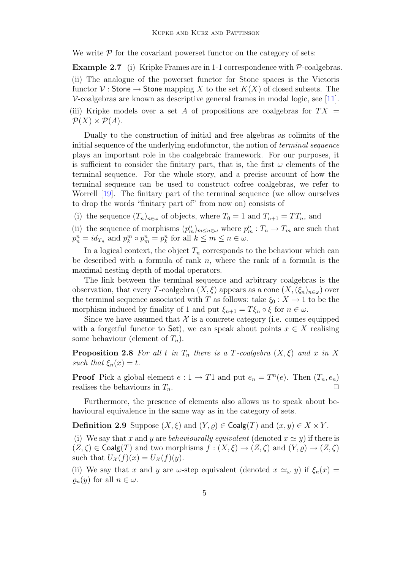We write  $P$  for the covariant powerset functor on the category of sets:

<span id="page-4-0"></span>**Example 2.7** (i) Kripke Frames are in 1-1 correspondence with  $P$ -coalgebras. (ii) The analogue of the powerset functor for Stone spaces is the Vietoris functor  $\mathcal V$ : Stone  $\rightarrow$  Stone mapping X to the set  $K(X)$  of closed subsets. The  $\nu$ -coalgebras are known as descriptive general frames in modal logic, see [\[11\]](#page-20-6). (iii) Kripke models over a set A of propositions are coalgebras for  $TX =$  $\mathcal{P}(X) \times \mathcal{P}(A)$ .

Dually to the construction of initial and free algebras as colimits of the initial sequence of the underlying endofunctor, the notion of *terminal sequence* plays an important role in the coalgebraic framework. For our purposes, it is sufficient to consider the finitary part, that is, the first  $\omega$  elements of the terminal sequence. For the whole story, and a precise account of how the terminal sequence can be used to construct cofree coalgebras, we refer to Worrell [\[19\]](#page-20-8). The finitary part of the terminal sequence (we allow ourselves to drop the words "finitary part of" from now on) consists of

(i) the sequence  $(T_n)_{n\in\omega}$  of objects, where  $T_0 = 1$  and  $T_{n+1} = TT_n$ , and

(ii) the sequence of morphisms  $(p_m^n)_{m \leq n \in \omega}$  where  $p_m^n : T_n \to T_m$  are such that  $p_n^n = id_{T_n}$  and  $p_k^m \circ p_m^n = p_k^n$  for all  $k \leq m \leq n \in \omega$ .

In a logical context, the object  $T_n$  corresponds to the behaviour which can be described with a formula of rank  $n$ , where the rank of a formula is the maximal nesting depth of modal operators.

The link between the terminal sequence and arbitrary coalgebras is the observation, that every T-coalgebra  $(X, \xi)$  appears as a cone  $(X, (\xi_n)_{n \in \omega})$  over the terminal sequence associated with T as follows: take  $\xi_0 : X \to 1$  to be the morphism induced by finality of 1 and put  $\xi_{n+1} = T \xi_n \circ \xi$  for  $n \in \omega$ .

Since we have assumed that  $\mathcal X$  is a concrete category (i.e. comes equipped with a forgetful functor to Set), we can speak about points  $x \in X$  realising some behaviour (element of  $T_n$ ).

<span id="page-4-1"></span>**Proposition 2.8** For all t in  $T_n$  there is a T-coalgebra  $(X, \xi)$  and x in X such that  $\xi_n(x) = t$ .

**Proof** Pick a global element  $e: 1 \to T1$  and put  $e_n = T^n(e)$ . Then  $(T_n, e_n)$ realises the behaviours in  $T_n$ .

Furthermore, the presence of elements also allows us to speak about behavioural equivalence in the same way as in the category of sets.

**Definition 2.9** Suppose  $(X, \xi)$  and  $(Y, \rho) \in \text{Coalg}(T)$  and  $(x, y) \in X \times Y$ .

(i) We say that x and y are behaviourally equivalent (denoted  $x \simeq y$ ) if there is  $(Z,\zeta) \in \text{Coalg}(T)$  and two morphisms  $f : (X,\xi) \to (Z,\zeta)$  and  $(Y,\rho) \to (Z,\zeta)$ such that  $U_{\mathcal{X}}(f)(x) = U_{\mathcal{X}}(f)(y)$ .

(ii) We say that x and y are  $\omega$ -step equivalent (denoted  $x \simeq_{\omega} y$ ) if  $\xi_n(x) =$  $\varrho_n(y)$  for all  $n \in \omega$ .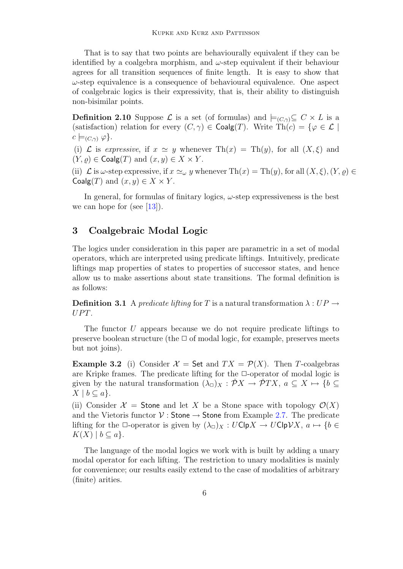That is to say that two points are behaviourally equivalent if they can be identified by a coalgebra morphism, and  $\omega$ -step equivalent if their behaviour agrees for all transition sequences of finite length. It is easy to show that  $\omega$ -step equivalence is a consequence of behavioural equivalence. One aspect of coalgebraic logics is their expressivity, that is, their ability to distinguish non-bisimilar points.

<span id="page-5-1"></span>**Definition 2.10** Suppose  $\mathcal{L}$  is a set (of formulas) and  $\models_{(C,\gamma)}\subseteq C \times L$  is a (satisfaction) relation for every  $(C, \gamma) \in \text{Coalg}(T)$ . Write  $\text{Th}(c) = \{ \varphi \in \mathcal{L} \mid$  $c \models_{(C,\gamma)} \varphi$ .

(i) L is expressive, if  $x \simeq y$  whenever  $\text{Th}(x) = \text{Th}(y)$ , for all  $(X, \xi)$  and  $(Y, \rho) \in \text{Coalg}(T)$  and  $(x, y) \in X \times Y$ .

(ii)  $\mathcal L$  is  $\omega$ -step expressive, if  $x \simeq_{\omega} y$  whenever Th $(x) = Th(y)$ , for all  $(X, \xi), (Y, \varrho) \in$ Coalg $(T)$  and  $(x, y) \in X \times Y$ .

In general, for formulas of finitary logics,  $\omega$ -step expressiveness is the best we can hope for (see  $[13]$ ).

# 3 Coalgebraic Modal Logic

The logics under consideration in this paper are parametric in a set of modal operators, which are interpreted using predicate liftings. Intuitively, predicate liftings map properties of states to properties of successor states, and hence allow us to make assertions about state transitions. The formal definition is as follows:

**Definition 3.1** A predicate lifting for T is a natural transformation  $\lambda : UP \rightarrow$  $UPT.$ 

The functor U appears because we do not require predicate liftings to preserve boolean structure (the  $\Box$  of modal logic, for example, preserves meets but not joins).

<span id="page-5-0"></span>**Example 3.2** (i) Consider  $\mathcal{X} =$  Set and  $TX = \mathcal{P}(X)$ . Then T-coalgebras are Kripke frames. The predicate lifting for the  $\Box$ -operator of modal logic is given by the natural transformation  $(\lambda_{\Box})_X : \check{\mathcal{P}}X \to \check{\mathcal{P}}TX, a \subseteq X \mapsto \{b \subseteq X : b \in X\}$  $X \mid b \subseteq a$ .

(ii) Consider  $\mathcal{X}$  = Stone and let X be a Stone space with topology  $\mathcal{O}(X)$ and the Vietoris functor  $V$ : Stone  $\rightarrow$  Stone from Example [2.7.](#page-4-0) The predicate lifting for the  $\Box$ -operator is given by  $(\lambda_{\Box})_X : U\mathsf{Clp}X \to U\mathsf{Clp}\mathcal{V}X$ ,  $a \mapsto \{b \in \Box\}$  $K(X) \mid b \subseteq a$ .

The language of the modal logics we work with is built by adding a unary modal operator for each lifting. The restriction to unary modalities is mainly for convenience; our results easily extend to the case of modalities of arbitrary (finite) arities.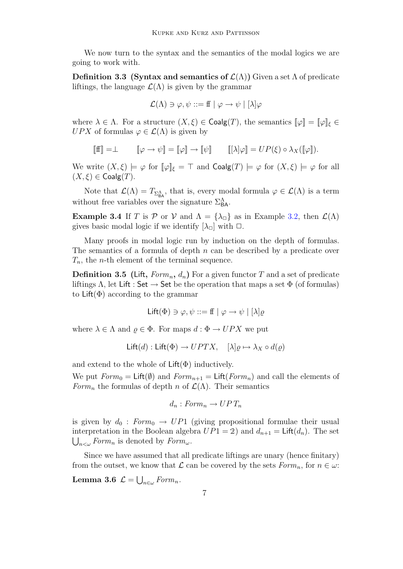We now turn to the syntax and the semantics of the modal logics we are going to work with.

Definition 3.3 (Syntax and semantics of  $\mathcal{L}(\Lambda)$ ) Given a set  $\Lambda$  of predicate liftings, the language  $\mathcal{L}(\Lambda)$  is given by the grammar

$$
\mathcal{L}(\Lambda) \ni \varphi, \psi ::= f f \mid \varphi \to \psi \mid [\lambda] \varphi
$$

where  $\lambda \in \Lambda$ . For a structure  $(X, \xi) \in \text{Coalg}(T)$ , the semantics  $\llbracket \varphi \rrbracket = \llbracket \varphi \rrbracket_{\xi} \in$ UPX of formulas  $\varphi \in \mathcal{L}(\Lambda)$  is given by

$$
\llbracket \mathbf{f} \rrbracket = \perp \qquad \llbracket \varphi \to \psi \rrbracket = \llbracket \varphi \rrbracket \to \llbracket \psi \rrbracket \qquad \llbracket [\lambda] \varphi \rrbracket = UP(\xi) \circ \lambda_X([\varphi]).
$$

We write  $(X, \xi) \models \varphi$  for  $[\varphi]_{\xi} = \top$  and  $\text{Coalg}(T) \models \varphi$  for  $(X, \xi) \models \varphi$  for all  $(X,\xi) \in \mathsf{Coalg}(T)$ .

Note that  $\mathcal{L}(\Lambda) = T_{\Sigma_{\mathsf{BA}}^{\Lambda}}$ , that is, every modal formula  $\varphi \in \mathcal{L}(\Lambda)$  is a term without free variables over the signature  $\Sigma_{BA}^{\Lambda}$ .

**Example 3.4** If T is P or V and  $\Lambda = {\lambda_{\square}}$  as in Example [3.2,](#page-5-0) then  $\mathcal{L}(\Lambda)$ gives basic modal logic if we identify  $[\lambda_{\Box}]$  with  $\Box$ .

Many proofs in modal logic run by induction on the depth of formulas. The semantics of a formula of depth  $n$  can be described by a predicate over  $T_n$ , the *n*-th element of the terminal sequence.

<span id="page-6-0"></span>**Definition 3.5** (Lift,  $Form_n, d_n$ ) For a given functor T and a set of predicate liftings  $\Lambda$ , let Lift : Set  $\to$  Set be the operation that maps a set  $\Phi$  (of formulas) to  $\text{Lift}(\Phi)$  according to the grammar

$$
\mathsf{Lift}(\Phi) \ni \varphi, \psi ::= \mathsf{ff} \mid \varphi \to \psi \mid [\lambda] \varrho
$$

where  $\lambda \in \Lambda$  and  $\rho \in \Phi$ . For maps  $d : \Phi \to UPX$  we put

$$
\mathsf{Lift}(d) : \mathsf{Lift}(\Phi) \to UPTX, \quad [\lambda] \varrho \mapsto \lambda_X \circ d(\varrho)
$$

and extend to the whole of  $\text{Lift}(\Phi)$  inductively.

We put  $Form_0 = \text{Lift}(\emptyset)$  and  $Form_{n+1} = \text{Lift}(Form_n)$  and call the elements of Form<sub>n</sub> the formulas of depth n of  $\mathcal{L}(\Lambda)$ . Their semantics

$$
d_n: Form_n \to UPT_n
$$

is given by  $d_0 : Form_0 \to UP1$  (giving propositional formulae their usual interpretation in the Boolean algebra  $UP1 = 2$ ) and  $d_{n+1} = \text{Lift}(d_n)$ . The set  $\bigcup_{n<\omega} Form_n$  is denoted by  $Form_{\omega}$ .

Since we have assumed that all predicate liftings are unary (hence finitary) from the outset, we know that  $\mathcal L$  can be covered by the sets  $Form_n$ , for  $n \in \omega$ :

Lemma 3.6  $\mathcal{L} = \bigcup_{n \in \omega} Form_n$ .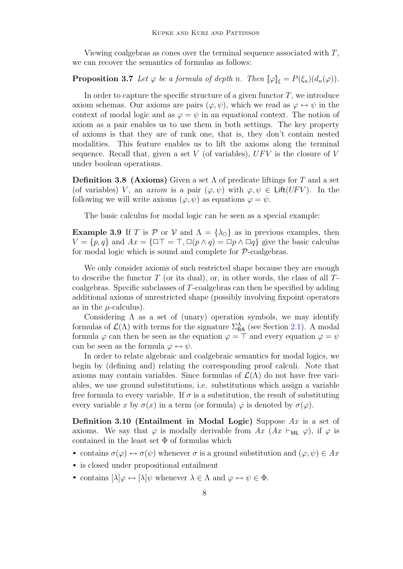Viewing coalgebras as cones over the terminal sequence associated with  $T$ , we can recover the semantics of formulas as follows:

# <span id="page-7-0"></span>**Proposition 3.7** Let  $\varphi$  be a formula of depth n. Then  $[\varphi]_{\xi} = P(\xi_n)(d_n(\varphi))$ .

In order to capture the specific structure of a given functor  $T$ , we introduce axiom schemas. Our axioms are pairs  $(\varphi, \psi)$ , which we read as  $\varphi \leftrightarrow \psi$  in the context of modal logic and as  $\varphi = \psi$  in an equational context. The notion of axiom as a pair enables us to use them in both settings. The key property of axioms is that they are of rank one, that is, they don't contain nested modalities. This feature enables us to lift the axioms along the terminal sequence. Recall that, given a set  $V$  (of variables),  $U F V$  is the closure of  $V$ under boolean operations.

**Definition 3.8 (Axioms)** Given a set  $\Lambda$  of predicate liftings for T and a set (of variables) V, an *axiom* is a pair  $(\varphi, \psi)$  with  $\varphi, \psi \in \text{Lift}(UFV)$ . In the following we will write axioms  $(\varphi, \psi)$  as equations  $\varphi = \psi$ .

The basic calculus for modal logic can be seen as a special example:

**Example 3.9** If T is P or V and  $\Lambda = {\lambda_0}$  as in previous examples, then  $V = \{p, q\}$  and  $Ax = \{\Box \top = \top, \Box (p \land q) = \Box p \land \Box q\}$  give the basic calculus for modal logic which is sound and complete for  $P$ -coalgebras.

We only consider axioms of such restricted shape because they are enough to describe the functor  $T$  (or its dual), or, in other words, the class of all  $T$ coalgebras. Specific subclasses of T-coalgebras can then be specified by adding additional axioms of unrestricted shape (possibly involving fixpoint operators as in the  $\mu$ -calculus).

Considering  $\Lambda$  as a set of (unary) operation symbols, we may identify formulas of  $\mathcal{L}(\Lambda)$  with terms for the signature  $\Sigma_{BA}^{\Lambda}$  (see Section [2.1\)](#page-1-0). A modal formula  $\varphi$  can then be seen as the equation  $\varphi = \top$  and every equation  $\varphi = \psi$ can be seen as the formula  $\varphi \leftrightarrow \psi$ .

In order to relate algebraic and coalgebraic semantics for modal logics, we begin by (defining and) relating the corresponding proof calculi. Note that axioms may contain variables. Since formulas of  $\mathcal{L}(\Lambda)$  do not have free variables, we use ground substitutions, i.e. substitutions which assign a variable free formula to every variable. If  $\sigma$  is a substitution, the result of substituting every variable x by  $\sigma(x)$  in a term (or formula)  $\varphi$  is denoted by  $\sigma(\varphi)$ .

**Definition 3.10 (Entailment in Modal Logic)** Suppose  $Ax$  is a set of axioms. We say that  $\varphi$  is modally derivable from  $Ax$   $(Ax \vdash_{ML} \varphi)$ , if  $\varphi$  is contained in the least set  $\Phi$  of formulas which

- contains  $\sigma(\varphi) \leftrightarrow \sigma(\psi)$  whenever  $\sigma$  is a ground substitution and  $(\varphi, \psi) \in Ax$
- is closed under propositional entailment
- contains  $[\lambda] \varphi \leftrightarrow [\lambda] \psi$  whenever  $\lambda \in \Lambda$  and  $\varphi \leftrightarrow \psi \in \Phi$ .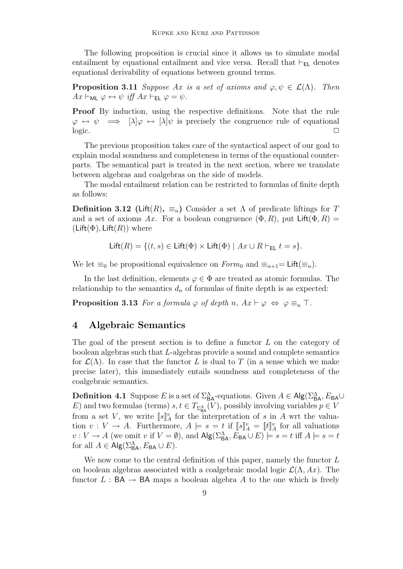The following proposition is crucial since it allows us to simulate modal entailment by equational entailment and vice versa. Recall that  $\vdash_{EL}$  denotes equational derivability of equations between ground terms.

**Proposition 3.11** Suppose Ax is a set of axioms and  $\varphi, \psi \in \mathcal{L}(\Lambda)$ . Then  $Ax \vdash_{ML} \varphi \leftrightarrow \psi \text{ iff } Ax \vdash_{EL} \varphi = \psi.$ 

Proof By induction, using the respective definitions. Note that the rule  $\varphi \leftrightarrow \psi \implies [\lambda] \varphi \leftrightarrow [\lambda] \psi$  is precisely the congruence rule of equational  $logic.$ 

The previous proposition takes care of the syntactical aspect of our goal to explain modal soundness and completeness in terms of the equational counterparts. The semantical part is treated in the next section, where we translate between algebras and coalgebras on the side of models.

The modal entailment relation can be restricted to formulas of finite depth as follows:

<span id="page-8-0"></span>**Definition 3.12** (Lift $(R)$ ,  $\equiv_n$ ) Consider a set  $\Lambda$  of predicate liftings for T and a set of axioms Ax. For a boolean congruence  $(\Phi, R)$ , put  $\text{Lift}(\Phi, R)$  $(Lift(\Phi), Lift(R))$  where

$$
\mathsf{Lift}(R) = \{(t,s) \in \mathsf{Lift}(\Phi) \times \mathsf{Lift}(\Phi) \mid Ax \cup R \vdash_{\mathsf{EL}} t = s\}.
$$

We let  $\equiv_0$  be propositional equivalence on  $Form_0$  and  $\equiv_{n+1}=$  Lift( $\equiv_n$ ).

In the last definition, elements  $\varphi \in \Phi$  are treated as atomic formulas. The relationship to the semantics  $d_n$  of formulas of finite depth is as expected:

**Proposition 3.13** For a formula  $\varphi$  of depth n,  $Ax \vdash \varphi \Leftrightarrow \varphi \equiv_n \top$ .

# 4 Algebraic Semantics

The goal of the present section is to define a functor  $L$  on the category of boolean algebras such that L-algebras provide a sound and complete semantics for  $\mathcal{L}(\Lambda)$ . In case that the functor L is dual to T (in a sense which we make precise later), this immediately entails soundness and completeness of the coalgebraic semantics.

**Definition 4.1** Suppose E is a set of  $\Sigma_{BA}^{\Lambda}$ -equations. Given  $A \in \mathsf{Alg}(\Sigma_{BA}^{\Lambda}, E_{BA} \cup$ E) and two formulas (terms)  $s, t \in T_{\Sigma_{\mathsf{BA}}^{\Lambda}}(V)$ , possibly involving variables  $p \in V$ from a set V, we write  $\llbracket s \rrbracket_A^v$  for the interpretation of s in A wrt the valuation  $v: V \to A$ . Furthermore,  $A \models s = t$  if  $\llbracket s \rrbracket_A^n = \llbracket t \rrbracket_A^n$  for all valuations  $v: V \to A$  (we omit v if  $V = \emptyset$ ), and  $\mathsf{Alg}(\Sigma_{\mathsf{BA}}^{\Lambda}, E_{\mathsf{BA}} \cup E) \models s = t$  iff  $A \models s = t$ for all  $A \in \mathsf{Alg}(\Sigma^{\Lambda}_{BA}, E_{BA} \cup E)$ .

We now come to the central definition of this paper, namely the functor L on boolean algebras associated with a coalgebraic modal logic  $\mathcal{L}(\Lambda, Ax)$ . The functor  $L : BA \rightarrow BA$  maps a boolean algebra A to the one which is freely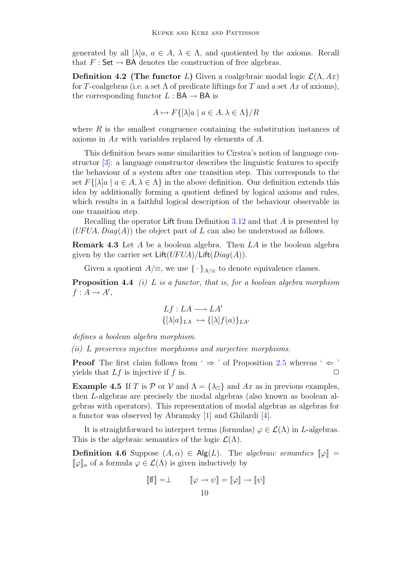generated by all  $[\lambda]a, a \in A, \lambda \in \Lambda$ , and quotiented by the axioms. Recall that  $F : \mathsf{Set} \to \mathsf{BA}$  denotes the construction of free algebras.

<span id="page-9-1"></span>**Definition 4.2** (The functor L) Given a coalgebraic modal logic  $\mathcal{L}(\Lambda, Ax)$ for T-coalgebras (i.e. a set  $\Lambda$  of predicate liftings for T and a set Ax of axioms), the corresponding functor  $L : BA \rightarrow BA$  is

$$
A \mapsto F\{[\lambda]a \mid a \in A, \lambda \in \Lambda\}/R
$$

where  $R$  is the smallest congruence containing the substitution instances of axioms in Ax with variables replaced by elements of A.

This definition bears some similarities to Cirstea's notion of language constructor [\[3\]](#page-19-0): a language constructor describes the linguistic features to specify the behaviour of a system after one transition step. This corresponds to the set  $F\{[\lambda]a \mid a \in A, \lambda \in \Lambda\}$  in the above definition. Our definition extends this idea by additionally forming a quotient defined by logical axioms and rules, which results in a faithful logical description of the behaviour observable in one transition step.

Recalling the operator Lift from Definition [3.12](#page-8-0) and that A is presented by  $(UFUA, Diag(A))$  the object part of L can also be understood as follows.

**Remark 4.3** Let A be a boolean algebra. Then  $LA$  is the boolean algebra given by the carrier set  $\text{Lift}(UFUA)/\text{Lift}(Diag(A)).$ 

Given a quotient  $A/\equiv$ , we use  $\{\cdot\}_{A/\equiv}$  to denote equivalence classes.

<span id="page-9-0"></span>**Proposition 4.4** (i) L is a functor, that is, for a boolean algebra morphism  $f: A \rightarrow A',$ 

$$
Lf: LA \longrightarrow LA'
$$

$$
\{\lbrack \lambda \rbrack a \}_{LA} \mapsto \{\lbrack \lambda \rbrack f(a) \}_{LA'}
$$

defines a boolean algebra morphism.

(ii) L preserves injective morphisms and surjective morphisms.

**Proof** The first claim follows from '  $\Rightarrow$  ' of Proposition [2.5](#page-3-0) whereas '  $\Leftarrow$  ' yields that  $Lf$  is injective if f is.  $\Box$ 

**Example 4.5** If T is P or V and  $\Lambda = {\lambda_{\square}}$  and Ax as in previous examples, then L-algebras are precisely the modal algebras (also known as boolean algebras with operators). This representation of modal algebras as algebras for a functor was observed by Abramsky [\[1\]](#page-19-1) and Ghilardi [\[4\]](#page-19-2).

It is straightforward to interpret terms (formulas)  $\varphi \in \mathcal{L}(\Lambda)$  in L-algebras. This is the algebraic semantics of the logic  $\mathcal{L}(\Lambda)$ .

**Definition 4.6** Suppose  $(A, \alpha) \in \mathsf{Alg}(L)$ . The *algebraic semantics*  $[\varphi] =$  $[\![\varphi]\!]_{\alpha}$  of a formula  $\varphi \in \mathcal{L}(\Lambda)$  is given inductively by

$$
\llbracket \mathbf{f} \mathbf{f} \rrbracket = \perp \qquad \llbracket \varphi \to \psi \rrbracket = \llbracket \varphi \rrbracket \to \llbracket \psi \rrbracket
$$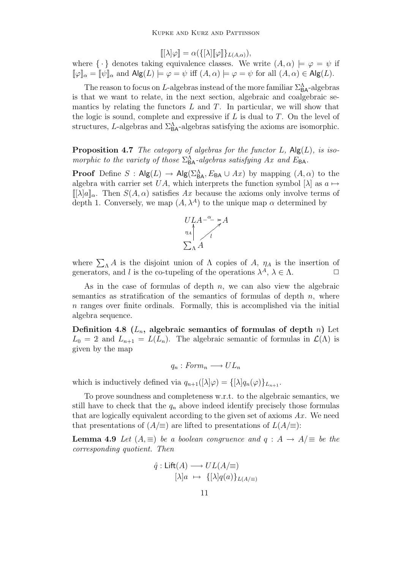$$
[[\lambda]\varphi] = \alpha(\{[\lambda] [\varphi]\}_{L(A,\alpha)}),
$$

where  $\{\cdot\}$  denotes taking equivalence classes. We write  $(A, \alpha) \models \varphi = \psi$  if  $[\![\varphi]\!]_{\alpha} = [\![\psi]\!]_{\alpha}$  and  $\mathsf{Alg}(L) \models \varphi = \psi$  iff  $(A, \alpha) \models \varphi = \psi$  for all  $(A, \alpha) \in \mathsf{Alg}(L)$ .

The reason to focus on L-algebras instead of the more familiar  $\Sigma_{BA}^{\Lambda}$ -algebras is that we want to relate, in the next section, algebraic and coalgebraic semantics by relating the functors  $L$  and  $T$ . In particular, we will show that the logic is sound, complete and expressive if  $L$  is dual to  $T$ . On the level of structures, L-algebras and  $\Sigma_{BA}^{\Lambda}$ -algebras satisfying the axioms are isomorphic.

<span id="page-10-2"></span>**Proposition 4.7** The category of algebras for the functor  $L$ ,  $\text{Alg}(L)$ , is isomorphic to the variety of those  $\Sigma_{BA}^{\Lambda}$ -algebras satisfying Ax and  $E_{BA}$ .

**Proof** Define  $S : Alg(L) \to Alg(\Sigma_{BA}^{\Lambda}, E_{BA} \cup Ax)$  by mapping  $(A, \alpha)$  to the algebra with carrier set UA, which interprets the function symbol  $[\lambda]$  as  $a \mapsto$  $[\![\lambda]a]\!]_{\alpha}$ . Then  $S(A,\alpha)$  satisfies Ax because the axioms only involve terms of depth 1. Conversely, we map  $(A, \lambda^A)$  to the unique map  $\alpha$  determined by



where  $\sum_{\Lambda} A$  is the disjoint union of  $\Lambda$  copies of  $A$ ,  $\eta_A$  is the insertion of generators, and l is the co-tupeling of the operations  $\lambda^A$ ,  $\lambda \in \Lambda$ .

As in the case of formulas of depth  $n$ , we can also view the algebraic semantics as stratification of the semantics of formulas of depth  $n$ , where  $n$  ranges over finite ordinals. Formally, this is accomplished via the initial algebra sequence.

<span id="page-10-0"></span>Definition 4.8  $(L_n,$  algebraic semantics of formulas of depth n) Let  $L_0 = 2$  and  $L_{n+1} = L(L_n)$ . The algebraic semantic of formulas in  $\mathcal{L}(\Lambda)$  is given by the map

$$
q_n: Form_n \longrightarrow UL_n
$$

which is inductively defined via  $q_{n+1}([\lambda]\varphi) = {\{\lambda | q_n(\varphi)\}}_{L_{n+1}}$ .

To prove soundness and completeness w.r.t. to the algebraic semantics, we still have to check that the  $q_n$  above indeed identify precisely those formulas that are logically equivalent according to the given set of axioms  $Ax$ . We need that presentations of  $(A/\equiv)$  are lifted to presentations of  $L(A/\equiv)$ :

<span id="page-10-1"></span>**Lemma 4.9** Let  $(A, \equiv)$  be a boolean congruence and  $q : A \rightarrow A/\equiv$  be the corresponding quotient. Then

$$
\hat{q}: \text{Lift}(A) \longrightarrow UL(A/\equiv)
$$

$$
[\lambda]a \mapsto \{[\lambda]q(a)\}_{L(A/\equiv)}
$$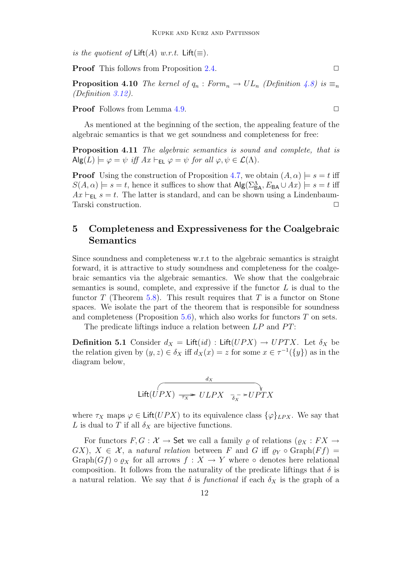is the quotient of  $\text{Lift}(A)$  w.r.t.  $\text{Lift}(\equiv)$ .

**Proof** This follows from Proposition [2.4.](#page-3-1)  $\Box$ 

**Proposition 4.10** The kernel of  $q_n : Form_n \to UL_n$  (Definition [4.8\)](#page-10-0) is  $\equiv_n$ (Definition [3.12\)](#page-8-0).

**Proof** Follows from Lemma [4.9.](#page-10-1) ◯

As mentioned at the beginning of the section, the appealing feature of the algebraic semantics is that we get soundness and completeness for free:

Proposition 4.11 The algebraic semantics is sound and complete, that is  $\mathsf{Alg}(L) \models \varphi = \psi \text{ iff } Ax \vdash_{\mathsf{EL}} \varphi = \psi \text{ for all } \varphi, \psi \in \mathcal{L}(\Lambda).$ 

**Proof** Using the construction of Proposition [4.7,](#page-10-2) we obtain  $(A, \alpha) \models s = t$  iff  $S(A, \alpha) \models s = t$ , hence it suffices to show that  $\mathsf{Alg}(\Sigma^{\Lambda}_{\mathsf{BA}}, E_{\mathsf{BA}} \cup Ax) \models s = t$  iff  $Ax \vdash_{EL} s = t$ . The latter is standard, and can be shown using a Lindenbaum-Tarski construction.

# 5 Completeness and Expressiveness for the Coalgebraic Semantics

Since soundness and completeness w.r.t to the algebraic semantics is straight forward, it is attractive to study soundness and completeness for the coalgebraic semantics via the algebraic semantics. We show that the coalgebraic semantics is sound, complete, and expressive if the functor  $L$  is dual to the functor T (Theorem [5.8\)](#page-13-1). This result requires that T is a functor on Stone spaces. We isolate the part of the theorem that is responsible for soundness and completeness (Proposition [5.6\)](#page-12-0), which also works for functors  $T$  on sets.

The predicate liftings induce a relation between  $LP$  and  $PT$ :

<span id="page-11-0"></span>**Definition 5.1** Consider  $d_X = \text{Lift}(id)$ : Lift $(UPX) \rightarrow UPTX$ . Let  $\delta_X$  be the relation given by  $(y, z) \in \delta_X$  iff  $d_X(x) = z$  for some  $x \in \tau^{-1}(\{y\})$  as in the diagram below,

$$
\frac{d_X}{\text{Lift}(UPX) \xrightarrow[\tau_X]{}} \frac{d_X}{\text{ULPX}} \xrightarrow[\delta_X]{}
$$

where  $\tau_X$  maps  $\varphi \in \text{Lift}(UPX)$  to its equivalence class  $\{\varphi\}_{LPX}$ . We say that L is dual to T if all  $\delta_X$  are bijective functions.

For functors  $F, G: \mathcal{X} \to \mathsf{Set}$  we call a family  $\rho$  of relations  $(\rho_X : FX \to \mathsf{Set})$  $GX$ ,  $X \in \mathcal{X}$ , a natural relation between F and G iff  $\varrho_Y \circ \text{Graph}(Ff) =$ Graph(Gf)  $\circ \varrho_X$  for all arrows  $f : X \to Y$  where  $\circ$  denotes here relational composition. It follows from the naturality of the predicate liftings that  $\delta$  is a natural relation. We say that  $\delta$  is *functional* if each  $\delta_X$  is the graph of a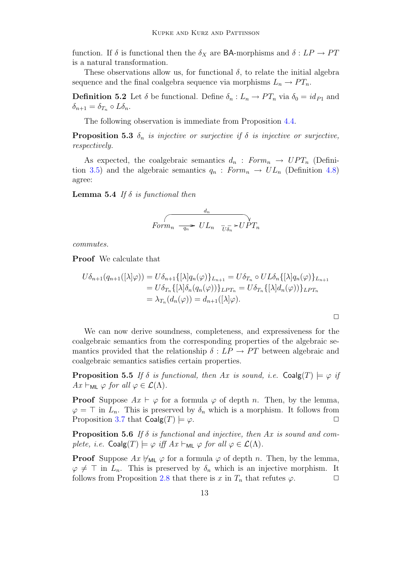function. If  $\delta$  is functional then the  $\delta_X$  are BA-morphisms and  $\delta : LP \rightarrow PT$ is a natural transformation.

These observations allow us, for functional  $\delta$ , to relate the initial algebra sequence and the final coalgebra sequence via morphisms  $L_n \to PT_n$ .

**Definition 5.2** Let  $\delta$  be functional. Define  $\delta_n: L_n \to PT_n$  via  $\delta_0 = id_{P_1}$  and  $\delta_{n+1} = \delta_{T_n} \circ L \delta_n.$ 

The following observation is immediate from Proposition [4.4.](#page-9-0)

**Proposition 5.3**  $\delta_n$  is injective or surjective if  $\delta$  is injective or surjective, respectively.

As expected, the coalgebraic semantics  $d_n : Form_n \rightarrow UPT_n$  (Defini-tion [3.5\)](#page-6-0) and the algebraic semantics  $q_n : Form_n \to UL_n$  (Definition [4.8\)](#page-10-0) agree:

**Lemma 5.4** If  $\delta$  is functional then

$$
\begin{array}{cc}\n & d_n \\
\hline\n\end{array}\n\qquad \qquad \frac{d_n}{U L_n} \quad \frac{\partial}{\partial \bar{b}_n} \Rightarrow \text{UPT}_n
$$

commutes.

Proof We calculate that

$$
U\delta_{n+1}(q_{n+1}([\lambda]\varphi)) = U\delta_{n+1}\{[\lambda]q_n(\varphi)\}_{L_{n+1}} = U\delta_{T_n} \circ UL\delta_n\{[\lambda]q_n(\varphi)\}_{L_{n+1}}
$$
  
=  $U\delta_{T_n}\{[\lambda]\delta_n(q_n(\varphi))\}_{LPT_n} = U\delta_{T_n}\{[\lambda]d_n(\varphi)\}_{LPT_n}$   
=  $\lambda_{T_n}(d_n(\varphi)) = d_{n+1}([\lambda]\varphi).$ 

 $\Box$ 

We can now derive soundness, completeness, and expressiveness for the coalgebraic semantics from the corresponding properties of the algebraic semantics provided that the relationship  $\delta : LP \rightarrow PT$  between algebraic and coalgebraic semantics satisfies certain properties.

<span id="page-12-1"></span>**Proposition 5.5** If  $\delta$  is functional, then Ax is sound, i.e.  $\text{Coalg}(T) \models \varphi$  if  $Ax \vdash_{ML} \varphi$  for all  $\varphi \in \mathcal{L}(\Lambda)$ .

**Proof** Suppose  $Ax \vdash \varphi$  for a formula  $\varphi$  of depth n. Then, by the lemma,  $\varphi = \top$  in  $L_n$ . This is preserved by  $\delta_n$  which is a morphism. It follows from Proposition [3.7](#page-7-0) that  $\text{Coalg}(T) \models \varphi$ .

<span id="page-12-0"></span>**Proposition 5.6** If  $\delta$  is functional and injective, then Ax is sound and complete, i.e.  $\text{Coalg}(T) \models \varphi \text{ iff } Ax \vdash_{\text{ML}} \varphi \text{ for all } \varphi \in \mathcal{L}(\Lambda).$ 

<span id="page-12-2"></span>**Proof** Suppose  $Ax \nvDash_{ML} \varphi$  for a formula  $\varphi$  of depth n. Then, by the lemma,  $\varphi \neq \top$  in  $L_n$ . This is preserved by  $\delta_n$  which is an injective morphism. It follows from Proposition [2.8](#page-4-1) that there is x in  $T_n$  that refutes  $\varphi$ .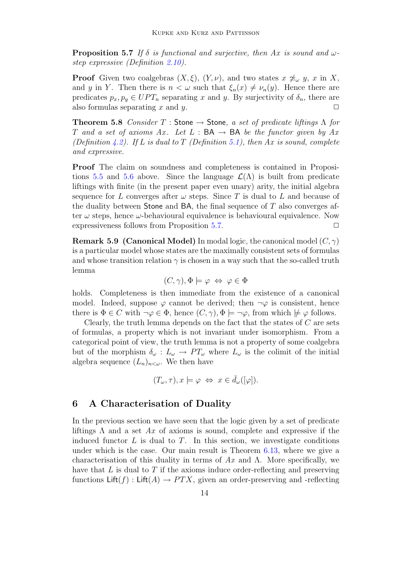**Proposition 5.7** If  $\delta$  is functional and surjective, then Ax is sound and  $\omega$ step expressive (Definition [2.10\)](#page-5-1).

**Proof** Given two coalgebras  $(X, \xi)$ ,  $(Y, \nu)$ , and two states  $x \not\sim_\omega y$ , x in X, and y in Y. Then there is  $n < \omega$  such that  $\xi_n(x) \neq \nu_n(y)$ . Hence there are predicates  $p_x, p_y \in UPT_n$  separating x and y. By surjectivity of  $\delta_n$ , there are also formulas separating x and y.  $\square$ 

<span id="page-13-1"></span>**Theorem 5.8** Consider T : Stone  $\rightarrow$  Stone, a set of predicate liftings  $\Lambda$  for T and a set of axioms Ax. Let  $L : BA \rightarrow BA$  be the functor given by Ax (Definition [4.2\)](#page-9-1). If L is dual to T (Definition [5.1\)](#page-11-0), then Ax is sound, complete and expressive.

Proof The claim on soundness and completeness is contained in Proposi-tions [5.5](#page-12-1) and [5.6](#page-12-0) above. Since the language  $\mathcal{L}(\Lambda)$  is built from predicate liftings with finite (in the present paper even unary) arity, the initial algebra sequence for L converges after  $\omega$  steps. Since T is dual to L and because of the duality between Stone and BA, the final sequence of  $T$  also converges after  $\omega$  steps, hence  $\omega$ -behavioural equivalence is behavioural equivalence. Now expressiveness follows from Proposition [5.7.](#page-12-2)  $\Box$ 

**Remark 5.9 (Canonical Model)** In modal logic, the canonical model  $(C, \gamma)$ is a particular model whose states are the maximally consistent sets of formulas and whose transition relation  $\gamma$  is chosen in a way such that the so-called truth lemma

$$
(C, \gamma), \Phi \models \varphi \Leftrightarrow \varphi \in \Phi
$$

holds. Completeness is then immediate from the existence of a canonical model. Indeed, suppose  $\varphi$  cannot be derived; then  $\neg \varphi$  is consistent, hence there is  $\Phi \in C$  with  $\neg \varphi \in \Phi$ , hence  $(C, \gamma)$ ,  $\Phi \models \neg \varphi$ , from which  $\not\models \varphi$  follows.

Clearly, the truth lemma depends on the fact that the states of  $C$  are sets of formulas, a property which is not invariant under isomorphism. From a categorical point of view, the truth lemma is not a property of some coalgebra but of the morphism  $\delta_{\omega}: L_{\omega} \to PT_{\omega}$  where  $L_{\omega}$  is the colimit of the initial algebra sequence  $(L_n)_{n<\omega}$ . We then have

$$
(T_{\omega}, \tau), x \models \varphi \Leftrightarrow x \in \bar{d}_{\omega}([\varphi]).
$$

# <span id="page-13-0"></span>6 A Characterisation of Duality

In the previous section we have seen that the logic given by a set of predicate liftings  $\Lambda$  and a set  $Ax$  of axioms is sound, complete and expressive if the induced functor  $L$  is dual to  $T$ . In this section, we investigate conditions under which is the case. Our main result is Theorem [6.13,](#page-18-0) where we give a characterisation of this duality in terms of  $Ax$  and  $\Lambda$ . More specifically, we have that  $L$  is dual to  $T$  if the axioms induce order-reflecting and preserving functions  $\text{Lift}(f)$ :  $\text{Lift}(A) \rightarrow PTX$ , given an order-preserving and -reflecting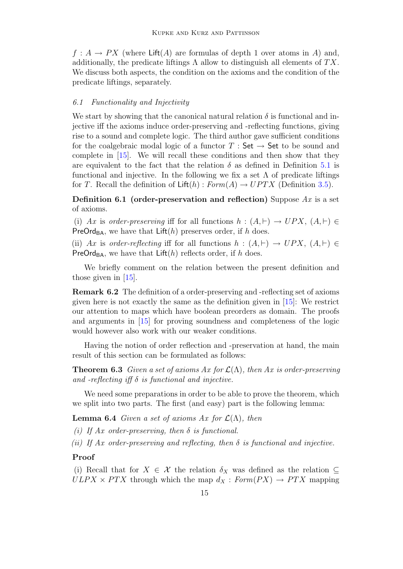$f: A \to PX$  (where Lift(A) are formulas of depth 1 over atoms in A) and, additionally, the predicate liftings  $\Lambda$  allow to distinguish all elements of  $TX$ . We discuss both aspects, the condition on the axioms and the condition of the predicate liftings, separately.

### 6.1 Functionality and Injectivity

We start by showing that the canonical natural relation  $\delta$  is functional and injective iff the axioms induce order-preserving and -reflecting functions, giving rise to a sound and complete logic. The third author gave sufficient conditions for the coalgebraic modal logic of a functor  $T : Set \rightarrow Set$  to be sound and complete in [\[15\]](#page-20-5). We will recall these conditions and then show that they are equivalent to the fact that the relation  $\delta$  as defined in Definition [5.1](#page-11-0) is functional and injective. In the following we fix a set  $\Lambda$  of predicate liftings for T. Recall the definition of  $\text{Lift}(h) : Form(A) \rightarrow UPTX$  (Definition [3.5\)](#page-6-0).

Definition 6.1 (order-preservation and reflection) Suppose  $Ax$  is a set of axioms.

(i) Ax is order-preserving iff for all functions  $h : (A, \vdash) \rightarrow UPX$ ,  $(A, \vdash) \in$ **PreOrd<sub>BA</sub>**, we have that  $\text{Lift}(h)$  preserves order, if h does.

(ii) Ax is order-reflecting iff for all functions  $h : (A, \vdash) \rightarrow UPX$ ,  $(A, \vdash) \in$ PreOrd<sub>BA</sub>, we have that  $\text{Lift}(h)$  reflects order, if h does.

We briefly comment on the relation between the present definition and those given in [\[15\]](#page-20-5).

Remark 6.2 The definition of a order-preserving and -reflecting set of axioms given here is not exactly the same as the definition given in [\[15\]](#page-20-5): We restrict our attention to maps which have boolean preorders as domain. The proofs and arguments in [\[15\]](#page-20-5) for proving soundness and completeness of the logic would however also work with our weaker conditions.

Having the notion of order reflection and -preservation at hand, the main result of this section can be formulated as follows:

<span id="page-14-0"></span>**Theorem 6.3** Given a set of axioms Ax for  $\mathcal{L}(\Lambda)$ , then Ax is order-preserving and -reflecting iff  $\delta$  is functional and injective.

We need some preparations in order to be able to prove the theorem, which we split into two parts. The first (and easy) part is the following lemma:

<span id="page-14-1"></span>**Lemma 6.4** Given a set of axioms Ax for  $\mathcal{L}(\Lambda)$ , then

(i) If  $Ax$  order-preserving, then  $\delta$  is functional.

(ii) If Ax order-preserving and reflecting, then  $\delta$  is functional and injective.

### Proof

(i) Recall that for  $X \in \mathcal{X}$  the relation  $\delta_X$  was defined as the relation  $\subseteq$  $ULPX \times PTX$  through which the map  $d_X : Form(PX) \rightarrow PTX$  mapping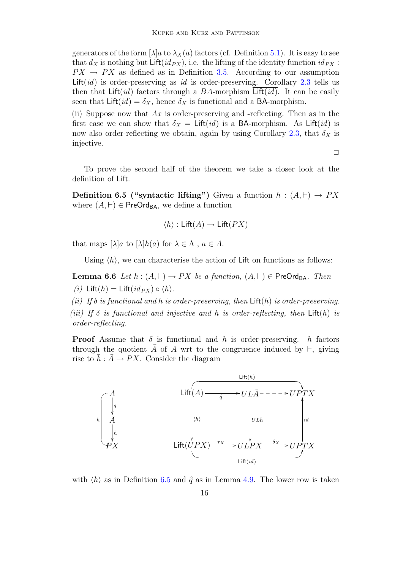generators of the form  $\lambda | a$  to  $\lambda_X(a)$  factors (cf. Definition [5.1\)](#page-11-0). It is easy to see that  $d_X$  is nothing but Lift( $id_{PX}$ ), i.e. the lifting of the identity function  $id_{PX}$ :  $PX \rightarrow PX$  as defined as in Definition [3.5.](#page-6-0) According to our assumption Lift(id) is order-preserving as id is order-preserving. Corollary [2.3](#page-2-1) tells us then that Lift(id) factors through a BA-morphism Lift(id). It can be easily seen that Lift( $id$ ) =  $\delta_X$ , hence  $\delta_X$  is functional and a BA-morphism.

(ii) Suppose now that  $Ax$  is order-preserving and -reflecting. Then as in the first case we can show that  $\delta_X = \text{Lift}(id)$  is a BA-morphism. As  $\text{Lift}(id)$  is now also order-reflecting we obtain, again by using Corollary [2.3,](#page-2-1) that  $\delta_X$  is injective.

 $\Box$ 

To prove the second half of the theorem we take a closer look at the definition of Lift.

<span id="page-15-0"></span>**Definition 6.5 ("syntactic lifting")** Given a function  $h : (A, \vdash) \rightarrow PX$ where  $(A, \vdash) \in \mathsf{PreOrd}_{\mathsf{BA}}$ , we define a function

$$
\langle h \rangle : \mathsf{Lift}(A) \to \mathsf{Lift}(PX)
$$

that maps  $[\lambda]a$  to  $[\lambda]h(a)$  for  $\lambda \in \Lambda$ ,  $a \in A$ .

Using  $\langle h \rangle$ , we can characterise the action of Lift on functions as follows:

<span id="page-15-1"></span>**Lemma 6.6** Let  $h : (A, \vdash) \to PX$  be a function,  $(A, \vdash) \in \mathsf{PreOrd}_{\mathsf{BA}}$ . Then (i) Lift(h) = Lift( $id_{PX}$ )  $\circ$   $\langle h \rangle$ .

(ii) If  $\delta$  is functional and h is order-preserving, then  $\text{Lift}(h)$  is order-preserving. (iii) If  $\delta$  is functional and injective and h is order-reflecting, then  $\text{Lift}(h)$  is order-reflecting.

**Proof** Assume that  $\delta$  is functional and h is order-preserving. h factors through the quotient A of A wrt to the congruence induced by  $\vdash$ , giving rise to  $\bar{h}$  :  $\bar{A} \rightarrow PX$ . Consider the diagram



with  $\langle h \rangle$  as in Definition [6.5](#page-15-0) and  $\hat{q}$  as in Lemma [4.9.](#page-10-1) The lower row is taken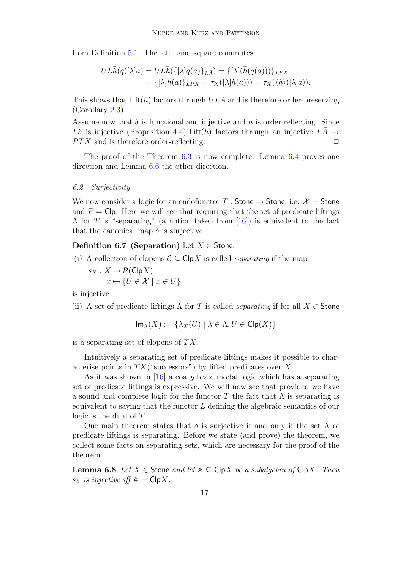from Definition [5.1.](#page-11-0) The left hand square commutes:

$$
UL\overline{h}(q([\lambda]a) = UL\overline{h}(\{[\lambda]q(a)\}_{L\overline{A}}) = \{[\lambda](\overline{h}(q(a)))\}_{LPX}
$$
  
= 
$$
\{[\lambda]h(a)\}_{LPX} = \tau_X([\lambda]h(a))) = \tau_X(\langle h \rangle([\lambda]a)).
$$

This shows that  $\text{Lift}(h)$  factors through  $UL\overline{A}$  and is therefore order-preserving (Corollary [2.3\)](#page-2-1).

Assume now that  $\delta$  is functional and injective and h is order-reflecting. Since  $L\bar{h}$  is injective (Proposition [4.4\)](#page-9-0) Lift(h) factors through an injective  $L\bar{A} \rightarrow$  $PTX$  and is therefore order-reflecting.  $\square$ 

The proof of the Theorem [6.3](#page-14-0) is now complete: Lemma [6.4](#page-14-1) proves one direction and Lemma [6.6](#page-15-1) the other direction.

### 6.2 Surjectivity

We now consider a logic for an endofunctor T : Stone  $\rightarrow$  Stone, i.e.  $\mathcal{X} =$  Stone and  $P = \text{Cip}$ . Here we will see that requiring that the set of predicate liftings  $\Lambda$  for T is "separating" (a notion taken from [\[16\]](#page-20-10)) is equivalent to the fact that the canonical map  $\delta$  is surjective.

### Definition 6.7 (Separation) Let  $X \in$  Stone.

- (i) A collection of clopens  $C \subset \mathsf{Cip} X$  is called *separating* if the map
	- $s_X : X \to \mathcal{P}(\mathsf{C}\vert \mathsf{p} X)$  $x \mapsto \{U \in \mathcal{X} \mid x \in U\}$

is injective.

(ii) A set of predicate liftings  $\Lambda$  for T is called *separating* if for all  $X \in$  Stone

$$
\operatorname{Im}_{\Lambda}(X) := \{ \lambda_X(U) \mid \lambda \in \Lambda, U \in \operatorname{Clp}(X) \}
$$

is a separating set of clopens of  $TX$ .

Intuitively a separating set of predicate liftings makes it possible to characterise points in  $TX$  ("successors") by lifted predicates over X.

As it was shown in [\[16\]](#page-20-10) a coalgebraic modal logic which has a separating set of predicate liftings is expressive. We will now see that provided we have a sound and complete logic for the functor T the fact that  $\Lambda$  is separating is equivalent to saying that the functor L defining the algebraic semantics of our logic is the dual of T.

Our main theorem states that  $\delta$  is surjective if and only if the set  $\Lambda$  of predicate liftings is separating. Before we state (and prove) the theorem, we collect some facts on separating sets, which are necessary for the proof of the theorem.

<span id="page-16-0"></span>**Lemma 6.8** Let  $X \in$  Stone and let  $A \subseteq$  Clp*X* be a subalgebra of Clp*X*. Then  $s_{\mathbb{A}}$  is injective iff  $\mathbb{A} = \mathsf{Clp}{X}$ .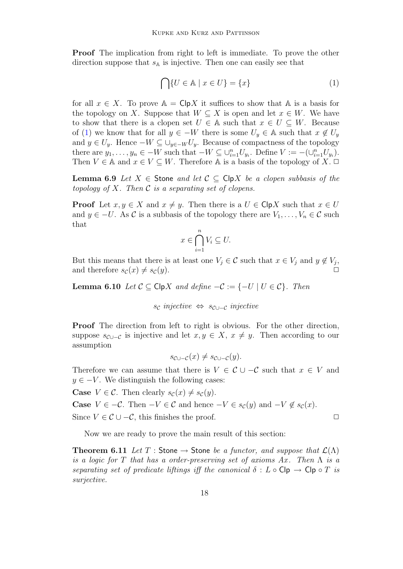Proof The implication from right to left is immediate. To prove the other direction suppose that  $s_A$  is injective. Then one can easily see that

<span id="page-17-0"></span>
$$
\bigcap \{ U \in \mathbb{A} \mid x \in U \} = \{ x \}
$$
\n<sup>(1)</sup>

for all  $x \in X$ . To prove  $A = \text{Cip}X$  it suffices to show that A is a basis for the topology on X. Suppose that  $W \subseteq X$  is open and let  $x \in W$ . We have to show that there is a clopen set  $U \in A$  such that  $x \in U \subseteq W$ . Because of [\(1\)](#page-17-0) we know that for all  $y \in -W$  there is some  $U_y \in A$  such that  $x \notin U_y$ and  $y \in U_y$ . Hence  $-W \subseteq \bigcup_{y \in -W} U_y$ . Because of compactness of the topology there are  $y_1, \ldots, y_n \in -W$  such that  $-W \subseteq \bigcup_{i=1}^n U_{y_i}$ . Define  $V := -(\bigcup_{i=1}^n U_{y_i})$ . Then  $V \in \mathbb{A}$  and  $x \in V \subseteq W$ . Therefore  $\mathbb{A}$  is a basis of the topology of X.  $\Box$ 

<span id="page-17-1"></span>**Lemma 6.9** Let  $X \in$  Stone and let  $C \subseteq$  ClpX be a clopen subbasis of the topology of  $X$ . Then  $\mathcal C$  is a separating set of clopens.

**Proof** Let  $x, y \in X$  and  $x \neq y$ . Then there is a  $U \in \mathsf{Cip} X$  such that  $x \in U$ and  $y \in -U$ . As C is a subbasis of the topology there are  $V_1, \ldots, V_n \in \mathcal{C}$  such that

$$
x \in \bigcap_{i=1}^{n} V_i \subseteq U.
$$

But this means that there is at least one  $V_j \in \mathcal{C}$  such that  $x \in V_j$  and  $y \notin V_j$ , and therefore  $s_{\mathcal{C}}(x) \neq s_{\mathcal{C}}(y)$ .

<span id="page-17-2"></span>**Lemma 6.10** Let  $C \subseteq \text{Clp} X$  and define  $-C := \{-U \mid U \in C\}$ . Then

$$
s_{\mathcal{C}}\ injective \Leftrightarrow s_{\mathcal{C}\cup-\mathcal{C}}\ injective
$$

Proof The direction from left to right is obvious. For the other direction, suppose  $s_{\mathcal{C}\cup-\mathcal{C}}$  is injective and let  $x, y \in X$ ,  $x \neq y$ . Then according to our assumption

$$
s_{\mathcal{C}\cup-\mathcal{C}}(x)\neq s_{\mathcal{C}\cup-\mathcal{C}}(y).
$$

Therefore we can assume that there is  $V \in \mathcal{C} \cup \mathcal{C}$  such that  $x \in V$  and  $y \in -V$ . We distinguish the following cases:

**Case**  $V \in \mathcal{C}$ . Then clearly  $s_{\mathcal{C}}(x) \neq s_{\mathcal{C}}(y)$ .

**Case**  $V \in -\mathcal{C}$ . Then  $-V \in \mathcal{C}$  and hence  $-V \in s_{\mathcal{C}}(y)$  and  $-V \notin s_{\mathcal{C}}(x)$ .

Since  $V \in \mathcal{C} \cup -\mathcal{C}$ , this finishes the proof.  $\Box$ 

Now we are ready to prove the main result of this section:

<span id="page-17-3"></span>**Theorem 6.11** Let T : Stone  $\rightarrow$  Stone be a functor, and suppose that  $\mathcal{L}(\Lambda)$ is a logic for T that has a order-preserving set of axioms  $Ax$ . Then  $\Lambda$  is a separating set of predicate liftings iff the canonical  $\delta : L \circ \mathsf{Clp} \to \mathsf{Clp} \circ T$  is surjective.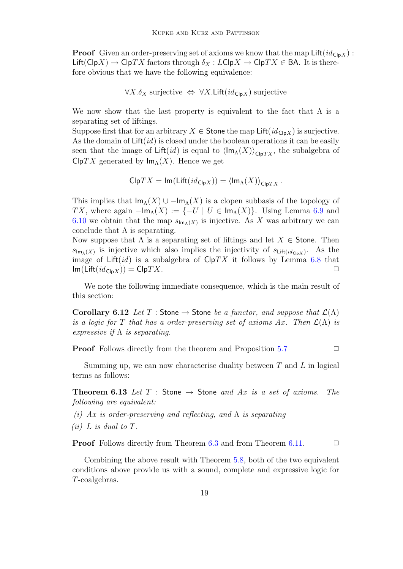**Proof** Given an order-preserving set of axioms we know that the map  $\text{Lift}(id_{\text{Clp}X})$ :  $\text{Lift}(\text{Clp}X) \to \text{Clp}TX$  factors through  $\delta_X : L\text{Clp}X \to \text{Clp}TX \in \text{BA}$ . It is therefore obvious that we have the following equivalence:

$$
\forall X. \delta_X \text{ surjective } \Leftrightarrow \forall X. \mathsf{Lift}(id_{\mathsf{Clp}X}) \text{ surjective}
$$

We now show that the last property is equivalent to the fact that  $\Lambda$  is a separating set of liftings.

Suppose first that for an arbitrary  $X \in$  Stone the map Lift( $id_{\text{Clp}X}$ ) is surjective. As the domain of  $\text{Lift}(id)$  is closed under the boolean operations it can be easily seen that the image of Lift(id) is equal to  $\langle \text{Im}_{\Lambda}(X) \rangle_{\text{ClpTX}}$ , the subalgebra of  $\mathsf{Cip}\mathit{TX}$  generated by  $\mathsf{Im}_{\Lambda}(X)$ . Hence we get

$$
\mathsf{Clp}TX = \mathsf{Im}(\mathsf{Lift}(id_{\mathsf{Clp}X})) = \langle \mathsf{Im}_{\Lambda}(X) \rangle_{\mathsf{Clp}TX}.
$$

This implies that  $\mathsf{Im}_{\Lambda}(X) \cup -\mathsf{Im}_{\Lambda}(X)$  is a clopen subbasis of the topology of TX, where again  $-\mathsf{Im}_{\Lambda}(X) := \{-U \mid U \in \mathsf{Im}_{\Lambda}(X)\}.$  Using Lemma [6.9](#page-17-1) and [6.10](#page-17-2) we obtain that the map  $s_{\mathsf{Im}\Lambda}(X)$  is injective. As X was arbitrary we can conclude that  $\Lambda$  is separating.

Now suppose that  $\Lambda$  is a separating set of liftings and let  $X \in$  Stone. Then  $s_{\mathsf{Im}\lambda}(X)$  is injective which also implies the injectivity of  $s_{\mathsf{Lift}(id_{\mathsf{Cip}X})}$ . As the image of Lift(*id*) is a subalgebra of  $\mathsf{Cip}TX$  it follows by Lemma [6.8](#page-16-0) that  $\textsf{Im}(\textsf{Lift}(id_{\textsf{Clp}X})) = \textsf{Clp}TX.$ 

We note the following immediate consequence, which is the main result of this section:

Corollary 6.12 Let T : Stone  $\rightarrow$  Stone be a functor, and suppose that  $\mathcal{L}(\Lambda)$ is a logic for T that has a order-preserving set of axioms Ax. Then  $\mathcal{L}(\Lambda)$  is expressive if  $\Lambda$  is separating.

**Proof** Follows directly from the theorem and Proposition  $5.7$ 

Summing up, we can now characterise duality between  $T$  and  $L$  in logical terms as follows:

<span id="page-18-0"></span>**Theorem 6.13** Let T : Stone  $\rightarrow$  Stone and Ax is a set of axioms. The following are equivalent:

- (i) Ax is order-preserving and reflecting, and  $\Lambda$  is separating
- (*ii*)  $L$  *is dual to T*.

**Proof** Follows directly from Theorem [6.3](#page-14-0) and from Theorem [6.11.](#page-17-3) □

Combining the above result with Theorem [5.8,](#page-13-1) both of the two equivalent conditions above provide us with a sound, complete and expressive logic for T-coalgebras.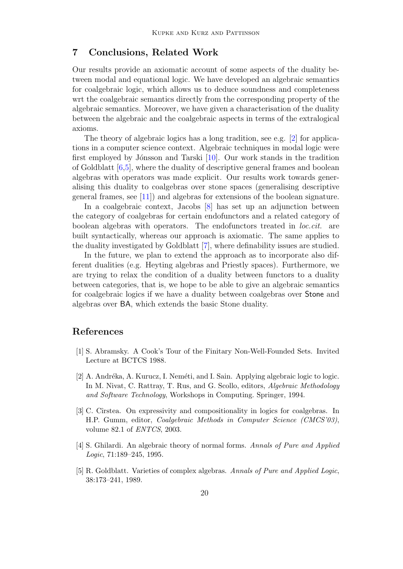# 7 Conclusions, Related Work

Our results provide an axiomatic account of some aspects of the duality between modal and equational logic. We have developed an algebraic semantics for coalgebraic logic, which allows us to deduce soundness and completeness wrt the coalgebraic semantics directly from the corresponding property of the algebraic semantics. Moreover, we have given a characterisation of the duality between the algebraic and the coalgebraic aspects in terms of the extralogical axioms.

The theory of algebraic logics has a long tradition, see e.g. [\[2\]](#page-19-3) for applications in a computer science context. Algebraic techniques in modal logic were first employed by Jónsson and Tarski  $[10]$ . Our work stands in the tradition of Goldblatt [\[6](#page-20-7)[,5\]](#page-19-4), where the duality of descriptive general frames and boolean algebras with operators was made explicit. Our results work towards generalising this duality to coalgebras over stone spaces (generalising descriptive general frames, see [\[11\]](#page-20-6)) and algebras for extensions of the boolean signature.

In a coalgebraic context, Jacobs [\[8\]](#page-20-12) has set up an adjunction between the category of coalgebras for certain endofunctors and a related category of boolean algebras with operators. The endofunctors treated in loc.cit. are built syntactically, whereas our approach is axiomatic. The same applies to the duality investigated by Goldblatt [\[7\]](#page-20-13), where definability issues are studied.

In the future, we plan to extend the approach as to incorporate also different dualities (e.g. Heyting algebras and Priestly spaces). Furthermore, we are trying to relax the condition of a duality between functors to a duality between categories, that is, we hope to be able to give an algebraic semantics for coalgebraic logics if we have a duality between coalgebras over Stone and algebras over BA, which extends the basic Stone duality.

# References

- <span id="page-19-1"></span>[1] S. Abramsky. A Cook's Tour of the Finitary Non-Well-Founded Sets. Invited Lecture at BCTCS 1988.
- <span id="page-19-3"></span>[2] A. Andréka, A. Kurucz, I. Neméti, and I. Sain. Applying algebraic logic to logic. In M. Nivat, C. Rattray, T. Rus, and G. Scollo, editors, Algebraic Methodology and Software Technology, Workshops in Computing. Springer, 1994.
- <span id="page-19-0"></span>[3] C. Cîrstea. On expressivity and compositionality in logics for coalgebras. In H.P. Gumm, editor, Coalgebraic Methods in Computer Science (CMCS'03), volume 82.1 of ENTCS, 2003.
- <span id="page-19-2"></span>[4] S. Ghilardi. An algebraic theory of normal forms. Annals of Pure and Applied Logic, 71:189–245, 1995.
- <span id="page-19-4"></span>[5] R. Goldblatt. Varieties of complex algebras. Annals of Pure and Applied Logic, 38:173–241, 1989.